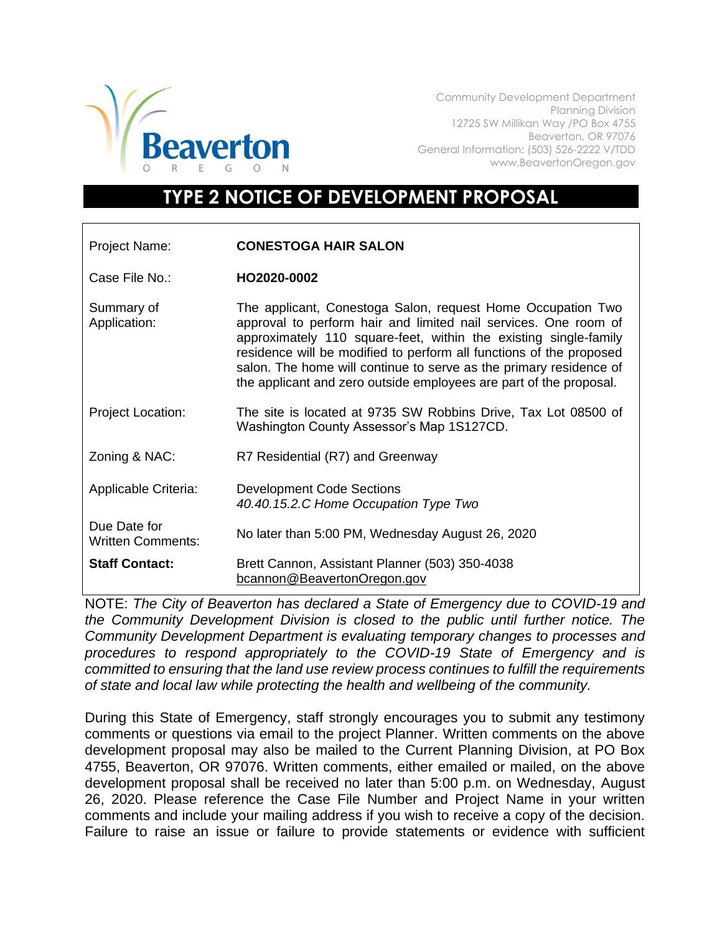

Community Development Department Planning Division 12725 SW Millikan Way /PO Box 4755 Beaverton, OR 97076 General Information: (503) 526-2222 V/TDD www.BeavertonOregon.gov

## **TYPE 2 NOTICE OF DEVELOPMENT PROPOSAL**

| Project Name:                            | <b>CONESTOGA HAIR SALON</b>                                                                                                                                                                                                                                                                                                                                                                                           |
|------------------------------------------|-----------------------------------------------------------------------------------------------------------------------------------------------------------------------------------------------------------------------------------------------------------------------------------------------------------------------------------------------------------------------------------------------------------------------|
| Case File No.:                           | HO2020-0002                                                                                                                                                                                                                                                                                                                                                                                                           |
| Summary of<br>Application:               | The applicant, Conestoga Salon, request Home Occupation Two<br>approval to perform hair and limited nail services. One room of<br>approximately 110 square-feet, within the existing single-family<br>residence will be modified to perform all functions of the proposed<br>salon. The home will continue to serve as the primary residence of<br>the applicant and zero outside employees are part of the proposal. |
| <b>Project Location:</b>                 | The site is located at 9735 SW Robbins Drive, Tax Lot 08500 of<br>Washington County Assessor's Map 1S127CD.                                                                                                                                                                                                                                                                                                           |
| Zoning & NAC:                            | R7 Residential (R7) and Greenway                                                                                                                                                                                                                                                                                                                                                                                      |
| Applicable Criteria:                     | <b>Development Code Sections</b><br>40.40.15.2.C Home Occupation Type Two                                                                                                                                                                                                                                                                                                                                             |
| Due Date for<br><b>Written Comments:</b> | No later than 5:00 PM, Wednesday August 26, 2020                                                                                                                                                                                                                                                                                                                                                                      |
| <b>Staff Contact:</b>                    | Brett Cannon, Assistant Planner (503) 350-4038<br>bcannon@BeavertonOregon.gov                                                                                                                                                                                                                                                                                                                                         |

NOTE: *The City of Beaverton has declared a State of Emergency due to COVID-19 and the Community Development Division is closed to the public until further notice. The Community Development Department is evaluating temporary changes to processes and procedures to respond appropriately to the COVID-19 State of Emergency and is committed to ensuring that the land use review process continues to fulfill the requirements of state and local law while protecting the health and wellbeing of the community.*

During this State of Emergency, staff strongly encourages you to submit any testimony comments or questions via email to the project Planner. Written comments on the above development proposal may also be mailed to the Current Planning Division, at PO Box 4755, Beaverton, OR 97076. Written comments, either emailed or mailed, on the above development proposal shall be received no later than 5:00 p.m. on Wednesday, August 26, 2020. Please reference the Case File Number and Project Name in your written comments and include your mailing address if you wish to receive a copy of the decision. Failure to raise an issue or failure to provide statements or evidence with sufficient